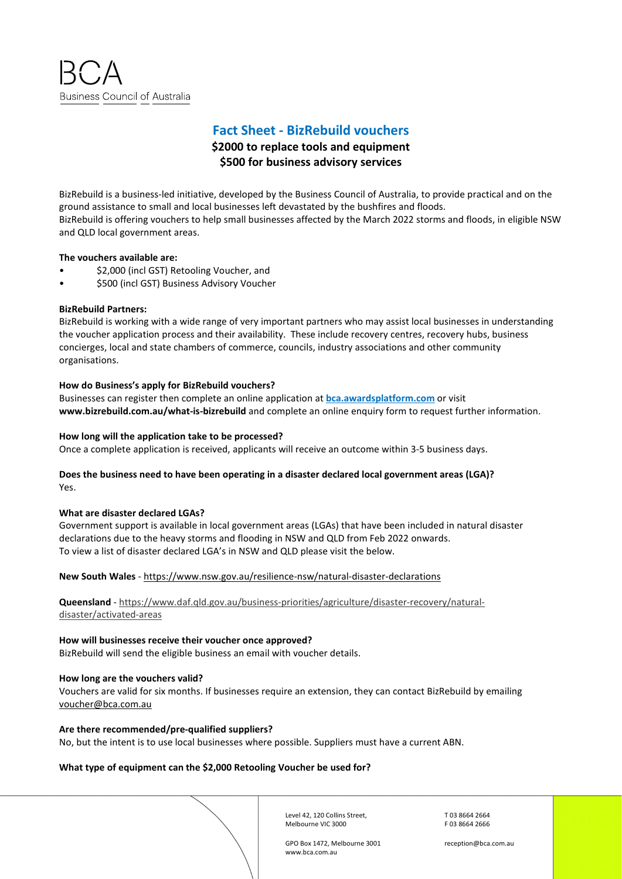**Business Council of Australia** 

# **Fact Sheet - BizRebuild vouchers**

## **\$2000 to replace tools and equipment \$500 for business advisory services**

BizRebuild is a business-led initiative, developed by the Business Council of Australia, to provide practical and on the ground assistance to small and local businesses left devastated by the bushfires and floods. BizRebuild is offering vouchers to help small businesses affected by the March 2022 storms and floods, in eligible NSW and QLD local government areas.

## **The vouchers available are:**

- \$2,000 (incl GST) Retooling Voucher, and
- \$500 (incl GST) Business Advisory Voucher

## **BizRebuild Partners:**

BizRebuild is working with a wide range of very important partners who may assist local businesses in understanding the voucher application process and their availability. These include recovery centres, recovery hubs, business concierges, local and state chambers of commerce, councils, industry associations and other community organisations.

## **How do Business's apply for BizRebuild vouchers?**

Businesses can register then complete an online application at **[bca.awardsplatform.com](https://bca.awardsplatform.com/)** or visit **www.bizrebuild.com.au/what-is-bizrebuild** and complete an online enquiry form to request further information.

**How long will the application take to be processed?** Once a complete application is received, applicants will receive an outcome within 3-5 business days.

## **Does the business need to have been operating in a disaster declared local government areas (LGA)?**  Yes.

### **What are disaster declared LGAs?**

Government support is available in local government areas (LGAs) that have been included in natural disaster declarations due to the heavy storms and flooding in NSW and QLD from Feb 2022 onwards. To view a list of disaster declared LGA's in NSW and QLD please visit the below.

**New South Wales** - https://www.nsw.gov.au/resilience-nsw/natural-disaster-declarations

## **Queensland** - [https://www.daf.qld.gov.au/business-priorities/agriculture/disaster-recovery/natural](https://www.daf.qld.gov.au/business-priorities/agriculture/disaster-recovery/natural-disaster/activated-areas)[disaster/activated-areas](https://www.daf.qld.gov.au/business-priorities/agriculture/disaster-recovery/natural-disaster/activated-areas)

## **How will businesses receive their voucher once approved?**

BizRebuild will send the eligible business an email with voucher details.

### **How long are the vouchers valid?**

Vouchers are valid for six months. If businesses require an extension, they can contact BizRebuild by emailing voucher@bca.com.au

### **Are there recommended/pre-qualified suppliers?**

No, but the intent is to use local businesses where possible. Suppliers must have a current ABN.

## **What type of equipment can the \$2,000 Retooling Voucher be used for?**

Level 42, 120 Collins Street, Melbourne VIC 3000

T 03 8664 2664 F 03 8664 2666

GPO Box 1472, Melbourne 3001 www.bca.com.au

reception@bca.com.au